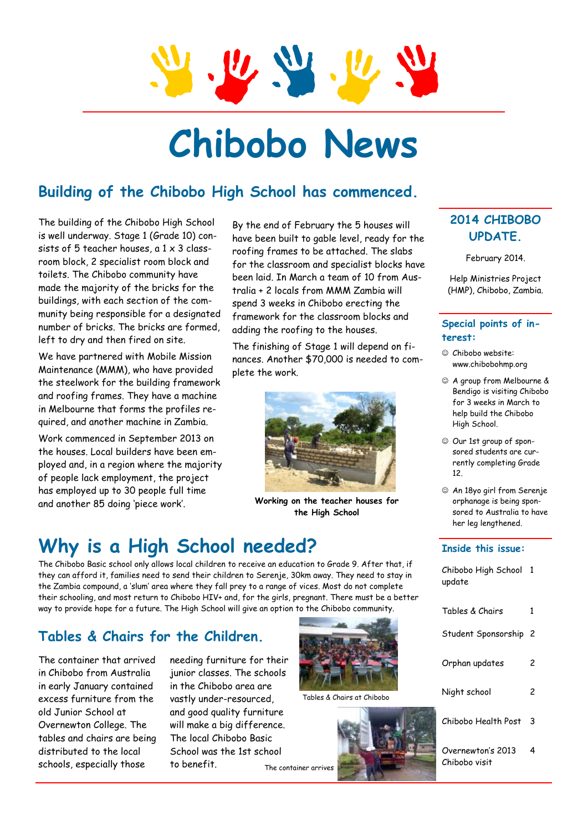

# **Chibobo News**

### **Building of the Chibobo High School has commenced.**

The building of the Chibobo High School is well underway. Stage 1 (Grade 10) consists of 5 teacher houses, a 1 x 3 classroom block, 2 specialist room block and toilets. The Chibobo community have made the majority of the bricks for the buildings, with each section of the community being responsible for a designated number of bricks. The bricks are formed, left to dry and then fired on site.

We have partnered with Mobile Mission Maintenance (MMM), who have provided the steelwork for the building framework and roofing frames. They have a machine in Melbourne that forms the profiles required, and another machine in Zambia.

Work commenced in September 2013 on the houses. Local builders have been employed and, in a region where the majority of people lack employment, the project has employed up to 30 people full time and another 85 doing 'piece work'.

By the end of February the 5 houses will have been built to gable level, ready for the roofing frames to be attached. The slabs for the classroom and specialist blocks have been laid. In March a team of 10 from Australia + 2 locals from MMM Zambia will spend 3 weeks in Chibobo erecting the framework for the classroom blocks and adding the roofing to the houses.

The finishing of Stage 1 will depend on finances. Another \$70,000 is needed to complete the work.



**Working on the teacher houses for the High School** 

# **Why is a High School needed?**

The Chibobo Basic school only allows local children to receive an education to Grade 9. After that, if they can afford it, families need to send their children to Serenje, 30km away. They need to stay in the Zambia compound, a 'slum' area where they fall prey to a range of vices. Most do not complete their schooling, and most return to Chibobo HIV+ and, for the girls, pregnant. There must be a better way to provide hope for a future. The High School will give an option to the Chibobo community.

#### **Tables & Chairs for the Children.**

The container that arrived in Chibobo from Australia in early January contained excess furniture from the old Junior School at Overnewton College. The tables and chairs are being distributed to the local schools, especially those

needing furniture for their junior classes. The schools in the Chibobo area are vastly under-resourced, and good quality furniture will make a big difference. The local Chibobo Basic School was the 1st school to benefit. The container arrives



Tables & Chairs at Chibobo



#### **2014 CHIBOBO UPDATE.**

February 2014.

Help Ministries Project (HMP), Chibobo, Zambia.

#### **Special points of interest:**

- Chibobo website: www.chibobohmp.org
- A group from Melbourne & Bendigo is visiting Chibobo for 3 weeks in March to help build the Chibobo High School.
- Our 1st group of sponsored students are currently completing Grade 12.
- An 18yo girl from Serenje orphanage is being sponsored to Australia to have her leg lengthened.

#### **Inside this issue:**

| Chibobo High School<br>update      | -1 |
|------------------------------------|----|
| Tables & Chairs                    | 1  |
| Student Sponsorship                | 2  |
| Orphan updates                     | 2  |
| Night school                       | 2  |
| Chibobo Health Post                | 3  |
| Overnewton's 2013<br>Chibobo visit | 4  |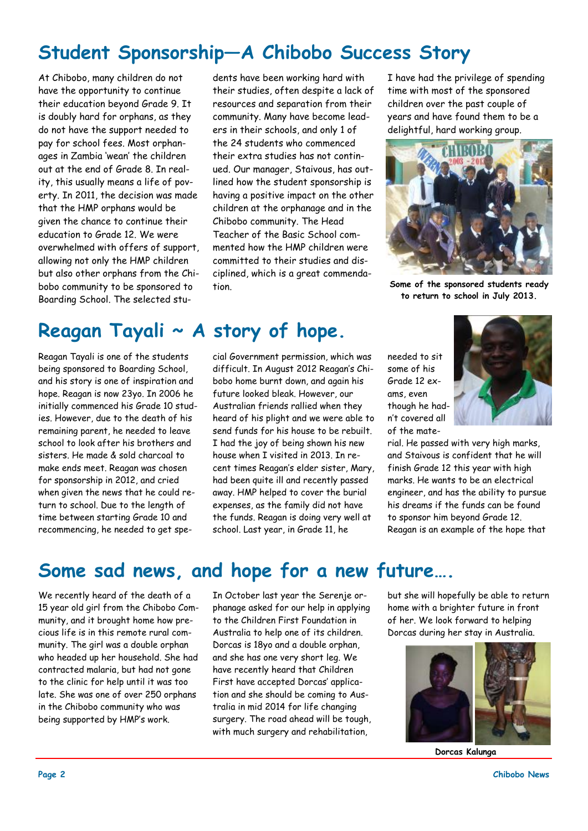# **Student Sponsorship—A Chibobo Success Story**

At Chibobo, many children do not have the opportunity to continue their education beyond Grade 9. It is doubly hard for orphans, as they do not have the support needed to pay for school fees. Most orphanages in Zambia 'wean' the children out at the end of Grade 8. In reality, this usually means a life of poverty. In 2011, the decision was made that the HMP orphans would be given the chance to continue their education to Grade 12. We were overwhelmed with offers of support, allowing not only the HMP children but also other orphans from the Chibobo community to be sponsored to Boarding School. The selected stu-

**Reagan Tayali ~ A story of hope.** 

Reagan Tayali is one of the students being sponsored to Boarding School, and his story is one of inspiration and hope. Reagan is now 23yo. In 2006 he initially commenced his Grade 10 studies. However, due to the death of his remaining parent, he needed to leave school to look after his brothers and sisters. He made & sold charcoal to make ends meet. Reagan was chosen for sponsorship in 2012, and cried when given the news that he could return to school. Due to the length of time between starting Grade 10 and recommencing, he needed to get spe-

dents have been working hard with their studies, often despite a lack of resources and separation from their community. Many have become leaders in their schools, and only 1 of the 24 students who commenced their extra studies has not continued. Our manager, Staivous, has outlined how the student sponsorship is having a positive impact on the other children at the orphanage and in the Chibobo community. The Head Teacher of the Basic School commented how the HMP children were committed to their studies and disciplined, which is a great commendation.

cial Government permission, which was difficult. In August 2012 Reagan's Chibobo home burnt down, and again his future looked bleak. However, our Australian friends rallied when they heard of his plight and we were able to send funds for his house to be rebuilt. I had the joy of being shown his new house when I visited in 2013. In recent times Reagan's elder sister, Mary, had been quite ill and recently passed away. HMP helped to cover the burial expenses, as the family did not have the funds. Reagan is doing very well at school. Last year, in Grade 11, he

I have had the privilege of spending time with most of the sponsored children over the past couple of years and have found them to be a delightful, hard working group.



**Some of the sponsored students ready to return to school in July 2013.** 

needed to sit some of his Grade 12 exams, even though he hadn't covered all of the mate-



rial. He passed with very high marks, and Staivous is confident that he will finish Grade 12 this year with high marks. He wants to be an electrical engineer, and has the ability to pursue his dreams if the funds can be found to sponsor him beyond Grade 12. Reagan is an example of the hope that

# **Some sad news, and hope for a new future….**

We recently heard of the death of a 15 year old girl from the Chibobo Community, and it brought home how precious life is in this remote rural community. The girl was a double orphan who headed up her household. She had contracted malaria, but had not gone to the clinic for help until it was too late. She was one of over 250 orphans in the Chibobo community who was being supported by HMP's work.

In October last year the Serenje orphanage asked for our help in applying to the Children First Foundation in Australia to help one of its children. Dorcas is 18yo and a double orphan, and she has one very short leg. We have recently heard that Children First have accepted Dorcas' application and she should be coming to Australia in mid 2014 for life changing surgery. The road ahead will be tough, with much surgery and rehabilitation,

but she will hopefully be able to return home with a brighter future in front of her. We look forward to helping Dorcas during her stay in Australia.



**Dorcas Kalunga**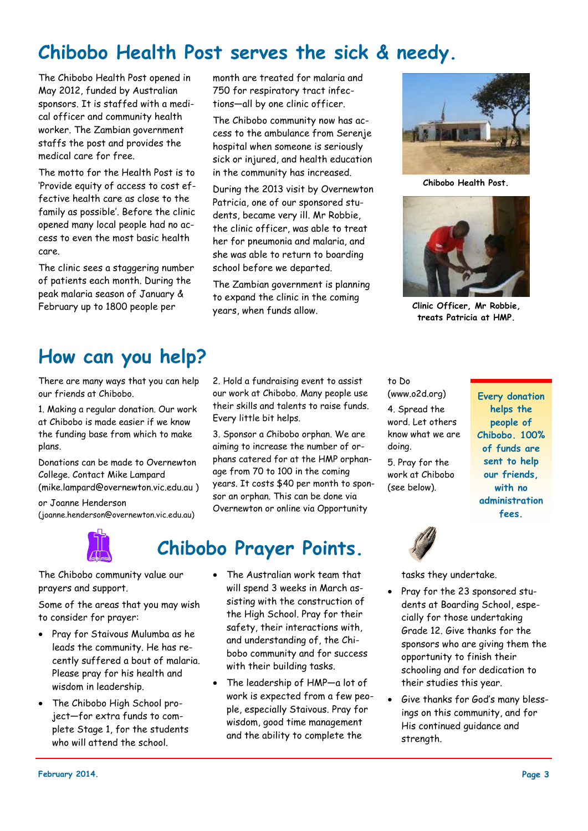# **Chibobo Health Post serves the sick & needy.**

The Chibobo Health Post opened in May 2012, funded by Australian sponsors. It is staffed with a medical officer and community health worker. The Zambian government staffs the post and provides the medical care for free.

The motto for the Health Post is to 'Provide equity of access to cost effective health care as close to the family as possible'. Before the clinic opened many local people had no access to even the most basic health care.

The clinic sees a staggering number of patients each month. During the peak malaria season of January & February up to 1800 people per

month are treated for malaria and 750 for respiratory tract infections—all by one clinic officer.

The Chibobo community now has access to the ambulance from Serenje hospital when someone is seriously sick or injured, and health education in the community has increased.

During the 2013 visit by Overnewton Patricia, one of our sponsored students, became very ill. Mr Robbie, the clinic officer, was able to treat her for pneumonia and malaria, and she was able to return to boarding school before we departed.

The Zambian government is planning to expand the clinic in the coming years, when funds allow.

2. Hold a fundraising event to assist our work at Chibobo. Many people use their skills and talents to raise funds.

3. Sponsor a Chibobo orphan. We are aiming to increase the number of orphans catered for at the HMP orphanage from 70 to 100 in the coming years. It costs \$40 per month to sponsor an orphan. This can be done via Overnewton or online via Opportunity



**Chibobo Health Post.** 



**Clinic Officer, Mr Robbie, treats Patricia at HMP.** 

# **How can you help?**

There are many ways that you can help our friends at Chibobo.

1. Making a regular donation. Our work at Chibobo is made easier if we know the funding base from which to make plans.

Donations can be made to Overnewton College. Contact Mike Lampard (mike.lampard@overnewton.vic.edu.au )

or Joanne Henderson (joanne.henderson@overnewton.vic.edu.au)



**Chibobo Prayer Points.** 

Every little bit helps.

The Chibobo community value our prayers and support.

Some of the areas that you may wish to consider for prayer:

- Pray for Staivous Mulumba as he leads the community. He has recently suffered a bout of malaria. Please pray for his health and wisdom in leadership.
- The Chibobo High School project—for extra funds to complete Stage 1, for the students who will attend the school.
- The Australian work team that will spend 3 weeks in March assisting with the construction of the High School. Pray for their safety, their interactions with, and understanding of, the Chibobo community and for success with their building tasks.
- The leadership of HMP—a lot of work is expected from a few people, especially Staivous. Pray for wisdom, good time management and the ability to complete the

to Do (www.o2d.org) 4. Spread the word. Let others know what we are doing. 5. Pray for the work at Chibobo (see below).

**Every donation helps the people of Chibobo. 100% of funds are sent to help our friends, with no administration fees.** 



tasks they undertake.

- Pray for the 23 sponsored students at Boarding School, especially for those undertaking Grade 12. Give thanks for the sponsors who are giving them the opportunity to finish their schooling and for dedication to their studies this year.
- Give thanks for God's many blessings on this community, and for His continued guidance and strength.